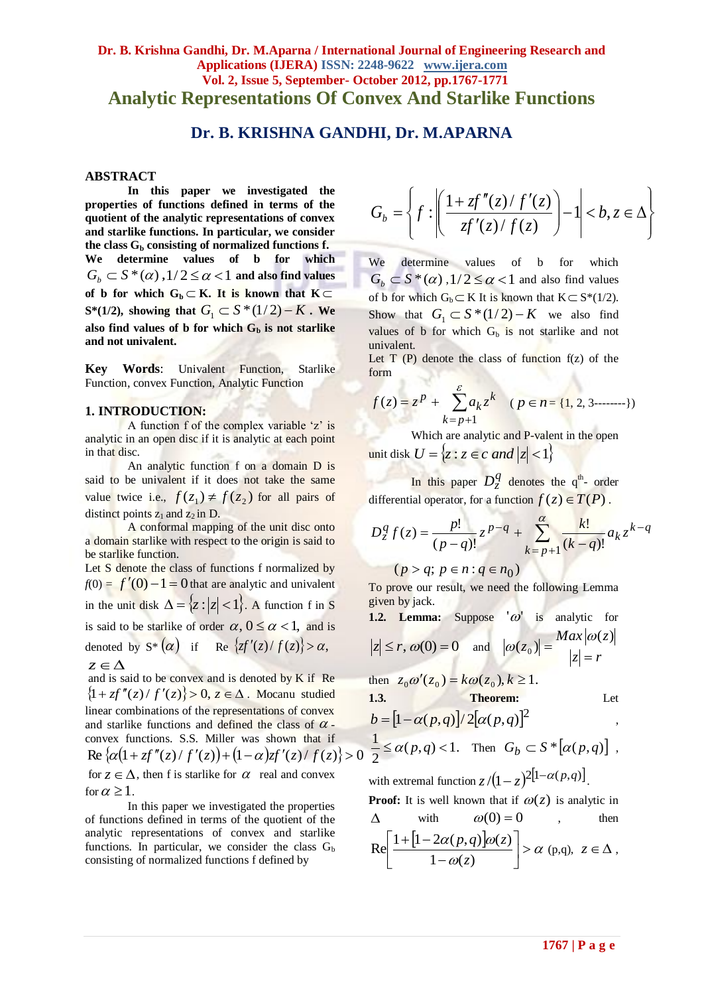## **Dr. B. Krishna Gandhi, Dr. M.Aparna / International Journal of Engineering Research and Applications (IJERA) ISSN: 2248-9622 www.ijera.com Vol. 2, Issue 5, September- October 2012, pp.1767-1771 Analytic Representations Of Convex And Starlike Functions**

# **Dr. B. KRISHNA GANDHI, Dr. M.APARNA**

#### **ABSTRACT**

**In this paper we investigated the properties of functions defined in terms of the quotient of the analytic representations of convex and starlike functions. In particular, we consider**  the class  $G_b$  consisting of normalized functions f.<br>We determine values of **b** for which We determine values of **b** for  $G_b \subset S^{\ast}(\alpha)$  ,  $1/2 \leq \alpha < 1$  and also find values of b for which  $G_b \subset K$ . It is known that  $K \subset$ **S**\*(1/2), showing that  $G_1 \subset S$  \*(1/2) – K. We also find values of **b** for which  $G_b$  is not starlike **and not univalent.**

**Key Words**: Univalent Function, Starlike Function, convex Function, Analytic Function

#### **1. INTRODUCTION:**

A function f of the complex variable 'z' is analytic in an open disc if it is analytic at each point in that disc.

An analytic function f on a domain D is said to be univalent if it does not take the same value twice i.e.,  $f(z_1) \neq f(z_2)$  for all pairs of distinct points  $z_1$  and  $z_2$  in D.

A conformal mapping of the unit disc onto a domain starlike with respect to the origin is said to be starlike function.

Let S denote the class of functions f normalized by  $f(0) = f'(0) - 1 = 0$  that are analytic and univalent in the unit disk  $\Delta = \{z : |z| < 1\}$ . A function f in S is said to be starlike of order  $\alpha$ ,  $0 \le \alpha < 1$ , and is denoted by  $S^* (\alpha)$  if Re  $\{zf'(z)/f(z)\} > \alpha$ ,

 $z \in \Delta$ and is said to be convex and is denoted by K if Re  $\{1 + zf''(z) / f'(z)\} > 0, z \in \Delta$ . Mocanu studied linear combinations of the representations of convex and starlike functions and defined the class of  $\alpha$  convex functions. S.S. Miller was shown that if  $\text{Re}\left\{\alpha(1 + zf''(z)/f'(z)) + (1-\alpha)zf'(z)/f(z)\right\} > 0$ for  $z \in \Delta$ , then f is starlike for  $\alpha$  real and convex for  $\alpha \geq 1$ .

In this paper we investigated the properties of functions defined in terms of the quotient of the analytic representations of convex and starlike functions. In particular, we consider the class  $G_b$ consisting of normalized functions f defined by

$$
G_b = \left\{ f : \left| \frac{1 + zf''(z)/f'(z)}{zf'(z)/f(z)} \right| - 1 \right| < b, z \in \Delta \right\}
$$

We determine values of b for which  $G_b \subset S^*(\alpha)$ ,  $1/2 \le \alpha < 1$  and also find values of b for which  $G_b \subset K$  It is known that  $K \subset S^*(1/2)$ . Show that  $G_1 \subset S^*(1/2) - K$  we also find values of b for which  $G_b$  is not starlike and not univalent.

Let  $T(P)$  denote the class of function  $f(z)$  of the form

$$
f(z) = zp + \sum_{k=p+1}^{z} a_k zk \quad (p \in n = \{1, 2, 3 \dots \dots \})
$$

Which are analytic and P-valent in the open unit disk  $U = \{z : z \in c \text{ and } |z| < 1\}$ 

In this paper  $D_z^q$  denotes the q<sup>th</sup>- order differential operator, for a function  $f(z) \in T(P)$ .

$$
D_z^q f(z) = \frac{p!}{(p-q)!} z^{p-q} + \sum_{k=p+1}^{\alpha} \frac{k!}{(k-q)!} a_k z^{k-q}
$$

 $(p > q; p \in n; q \in n_0)$ 

To prove our result, we need the following Lemma given by jack.

1.2. Lemma: Suppose 
$$
|\omega|
$$
 is analytic for  
\n $|z| \le r$ ,  $\omega(0) = 0$  and  $|\omega(z_0)| = \frac{Max|\omega(z)|}{|z| = r}$   
\nthen  $z_0 \omega'(z_0) = k\omega(z_0), k \ge 1$ .  
\n1.3. Theorem: Let  
\n $b = [1 - \alpha(p, q)]/2[\alpha(p, q)]^2$ ,  
\n $\frac{1}{2} \le \alpha(p, q) < 1$ . Then  $G_b \subset S^*[\alpha(p, q)]$ ,  
\nwith extremal function  $z/(1-z)^{2[1-\alpha(p, q)]}$ .  
\nProof: It is well known that if  $\omega(z)$  is analytic in  
\n $\Delta$  with  $\omega(0) = 0$ , then  
\n $Re\left[\frac{1+[1-2\alpha(p,q)]\omega(z)}{1-\omega(z)}\right] > \alpha(p,q), z \in \Delta$ ,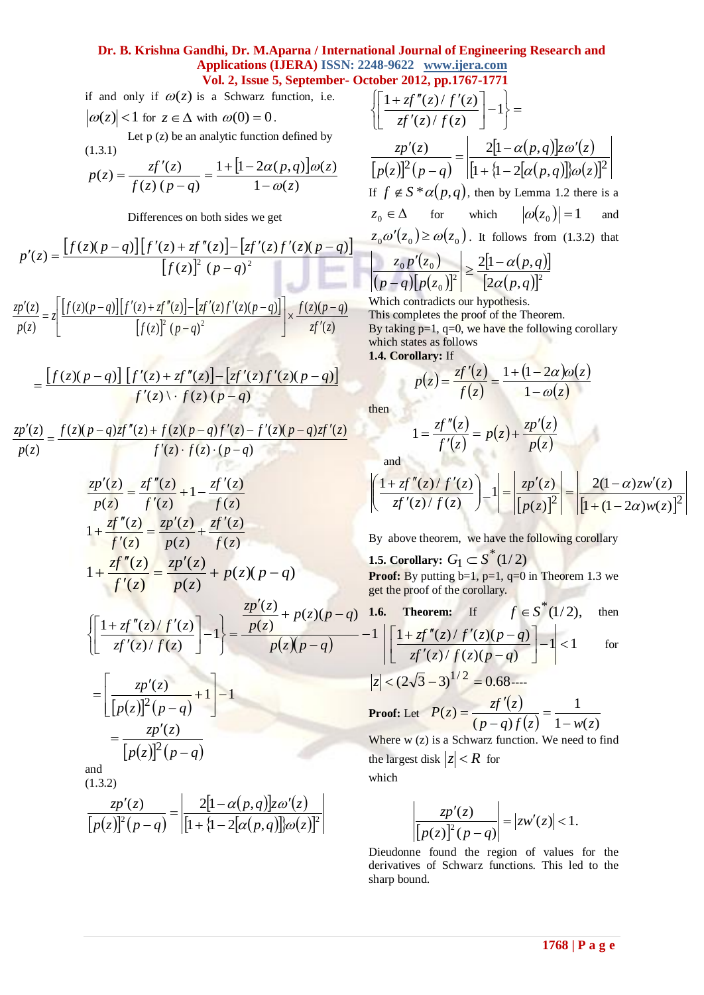### **Dr. B. Krishna Gandhi, Dr. M.Aparna / International Journal of Engineering Research and Applications (IJERA) ISSN: 2248-9622 www.ijera.com Vol. 2, Issue 5, September- October 2012, pp.1767-1771**

if and only if  $\omega(z)$  is a Schwarz function, i.e.  $\omega(z)$  < 1 for  $z \in \Delta$  with  $\omega(0) = 0$ .

Let  $p(z)$  be an analytic function defined by (1.3.1)

$$
p(z) = \frac{zf'(z)}{f(z)(p-q)} = \frac{1 + [1 - 2\alpha(p,q)]\omega(z)}{1 - \omega(z)}
$$

Differences on both sides we get

$$
p'(z) = \frac{[f(z)(p-q)][f'(z) + zf''(z)] - [zf'(z)f'(z)(p-q)]}{[f(z)]^2 (p-q)^2}
$$

$$
\frac{zp'(z)}{zp'(z)} = z \left[ \frac{[f(z)(p-q)][f'(z) + gf''(z)] - [zf'(z)f'(z)(p-q)]}{[f(z)(p-q)]} \right] \times \frac{f(z)(p-q)}{zp'(z)}
$$

$$
\frac{p(z)}{p(z)} = z \left[ \frac{\frac{p(z)}{p(z)} + \frac{p(z)}{p(z)} + \frac{p(z)}{p(z)} + \frac{p(z)}{p(z)} + \frac{p(z)}{p(z)} + \frac{p(z)}{p(z)} + \frac{p(z)}{p(z)} + \frac{p(z)}{p(z)} + \frac{p(z)}{p(z)} + \frac{p(z)}{p(z)} + \frac{p(z)}{p(z)} + \frac{p(z)}{p(z)} + \frac{p(z)}{p(z)} + \frac{p(z)}{p(z)} + \frac{p(z)}{p(z)} + \frac{p(z)}{p(z)} + \frac{p(z)}{p(z)} + \frac{p(z)}{p(z)} + \frac{p(z)}{p(z)} + \frac{p(z)}{p(z)} + \frac{p(z)}{p(z)} + \frac{p(z)}{p(z)} + \frac{p(z)}{p(z)} + \frac{p(z)}{p(z)} + \frac{p(z)}{p(z)} + \frac{p(z)}{p(z)} + \frac{p(z)}{p(z)} + \frac{p(z)}{p(z)} + \frac{p(z)}{p(z)} + \frac{p(z)}{p(z)} + \frac{p(z)}{p(z)} + \frac{p(z)}{p(z)} + \frac{p(z)}{p(z)} + \frac{p(z)}{p(z)} + \frac{p(z)}{p(z)} + \frac{p(z)}{p(z)} + \frac{p(z)}{p(z)} + \frac{p(z)}{p(z)} + \frac{p(z)}{p(z)} + \frac{p(z)}{p(z)} + \frac{p(z)}{p(z)} + \frac{p(z)}{p(z)} + \frac{p(z)}{p(z)} + \frac{p(z)}{p(z)} + \frac{p(z)}{p(z)} + \frac{p(z)}{p(z)} + \frac{p(z)}{p(z)} + \frac{p(z)}{p(z)} + \frac{p(z)}{p(z)} + \frac{p(z)}{p(z)} + \frac{p(z)}{p(z)} + \frac{p(z)}{p(z)} + \frac{p(z)}{p(z)} + \frac{p(z)}{p(z)} + \frac{p(z)}{p(z)} + \frac{p(z)}{p(z)} + \frac{p(z)}{p(z)} + \frac{p(z)}{p(z)} + \frac{p(z)}{p(z)} + \frac{p(z)}{p(z)} + \frac{p(z)}{p(z)} + \frac{p(z)}{p(z)} + \frac{p(z)}{p(z)} + \frac{p(z)}{p(z)} + \frac{p(z)}{p(z)} + \frac{p(z)}{p(z)} + \frac{p(z)}{p(z)} + \frac{p(z)}
$$

$$
= \frac{\left[f(z)(p-q)\right]\left[f'(z)+zf''(z)\right]-\left[zf'(z)f'(z)(p-q)\right]}{f'(z)\setminus f(z)(p-q)}
$$

$$
\frac{zp'(z)}{p(z)} = \frac{f(z)(p-q)zf''(z) + f(z)(p-q)f'(z) - f'(z)(p-q)zf'(z)}{f'(z) \cdot f(z) \cdot (p-q)}
$$

$$
\frac{zp'(z)}{p(z)} = \frac{zf''(z)}{f'(z)} + 1 - \frac{zf'(z)}{f(z)}
$$
\n
$$
1 + \frac{zf''(z)}{f'(z)} = \frac{zp'(z)}{p(z)} + \frac{zf'(z)}{f(z)}
$$
\n
$$
1 + \frac{zf''(z)}{f'(z)} = \frac{zp'(z)}{p(z)} + p(z)(p - q)
$$
\n
$$
\left\{ \left[ \frac{1 + zf''(z)}{zf'(z) / f(z)} \right] - 1 \right\} = \frac{\frac{zp'(z)}{p(z)} + p(z)(p - q)}{p(z)(p - q)}
$$
\n
$$
= \left[ \frac{zp'(z)}{[p(z)]^2 (p - q)} + 1 \right] - 1
$$
\n
$$
= \frac{zp'(z)}{[p(z)]^2 (p - q)}
$$
\nand\n(1.3.2)\n
$$
\frac{zp'(z)}{[p(z)]^2 (p - q)} = \left| \frac{2[1 - \alpha(p, q)]z\omega'(z)}{[1 + \{1 - 2[\alpha(p, q)]\}\omega(z)|^2} \right|
$$

cuber 2012, pp.1707-1771  
\n
$$
\left\{\left[\frac{1+zf''(z)/f'(z)}{zf'(z)/f(z)}\right]-1\right\} =
$$
\n
$$
\frac{zp'(z)}{[p(z)]^2(p-q)} = \left|\frac{2[1-\alpha(p,q)]z\omega'(z)}{[1 + \{1-2[\alpha(p,q)]\}\omega(z)]^2}\right|
$$
\nIf  $f \notin S^* \alpha(p,q)$ , then by Lemma 1.2 there is a  
\n $z_0 \in \Delta$  for which  $|\omega(z_0)| = 1$  and  
\n $z_0 \omega'(z_0) \ge \omega(z_0)$ . It follows from (1.3.2) that  
\n
$$
\left|\frac{z_0p'(z_0)}{(p-q)[p(z_0)]^2}\right| \ge \frac{2[1-\alpha(p,q)]}{[2\alpha(p,q)]^2}
$$
\nWhich contradicts our hypothesis

h contradicts our hypothe

This completes the proof of the Theorem. By taking  $p=1$ ,  $q=0$ , we have the following corollary which states as follows

**1.4. Corollary:** If

$$
p(z) = \frac{zf'(z)}{f(z)} = \frac{1 + (1 - 2\alpha)\omega(z)}{1 - \omega(z)}
$$

then

$$
1 = \frac{zf''(z)}{f'(z)} = p(z) + \frac{zp'(z)}{p(z)}
$$

and

$$
\left| \left( \frac{1 + zf''(z)}{zf'(z) / f(z)} \right) - 1 \right| = \left| \frac{zp'(z)}{[p(z)]^2} \right| = \left| \frac{2(1 - \alpha)zw'(z)}{[1 + (1 - 2\alpha)w(z)]^2} \right|
$$

By above theorem, we have the following corollary

**1.5. Corollary:**  $G_1 \subset S^*(1/2)$ **Proof:** By putting  $b=1$ ,  $p=1$ ,  $q=0$  in Theorem 1.3 we get the proof of the corollary.

**1.6. Theorem:** If 
$$
f \in S^*(1/2)
$$
, then  
\n
$$
-1 \left| \left[ \frac{1 + zf''(z)/f'(z)(p-q)}{zf'(z)/f(z)(p-q)} \right] - 1 \right| < 1
$$
 for

$$
|z| < (2\sqrt{3} - 3)^{1/2} = 0.68
$$

**Proof:** Let  $P(z) = \frac{zf'(z)}{z}$  $(z) \quad 1 - w(z)$ 1  $(p-q)$  $(z)$  $p - q$ *f*  $(z)$   $1 - w(z)$  $P(z) = \frac{zf'(z)}{z}$  $\overline{a}$  $\equiv$  $\overline{a}$  $\overline{\phantom{a}}$  $\overline{a}$ Where w (z) is a Schwarz function. We need to find the largest disk  $|z| < R$  for

which

$$
\left|\frac{zp'(z)}{\left[p(z)\right]^2(p-q)}\right| = |zw'(z)| < 1.
$$

Dieudonne found the region of values for the derivatives of Schwarz functions. This led to the sharp bound.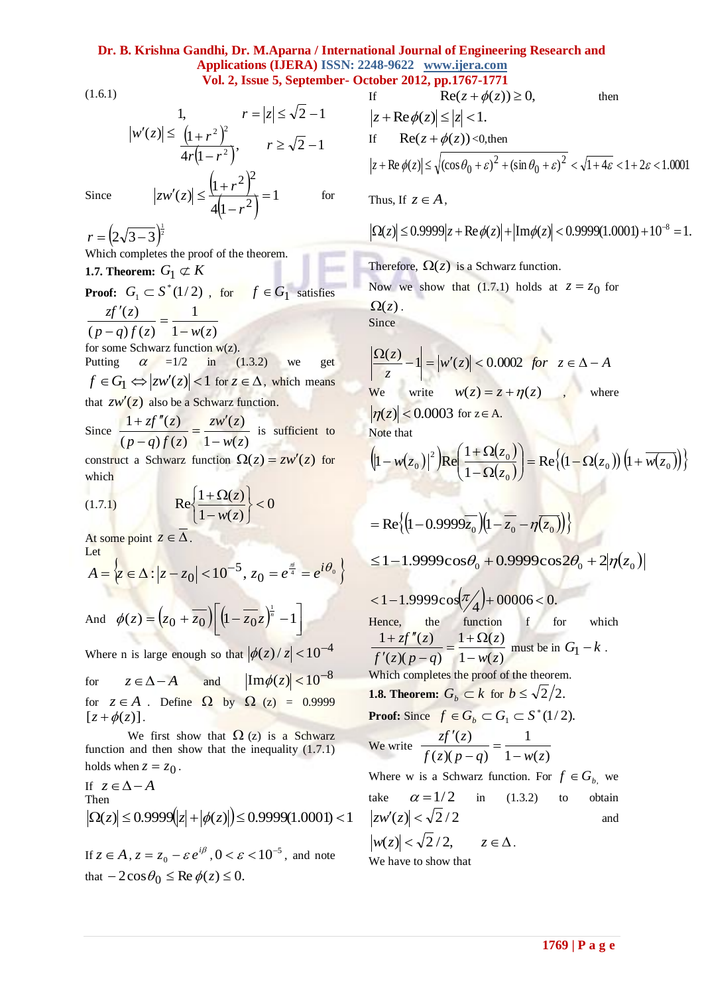### **Dr. B. Krishna Gandhi, Dr. M.Aparna / International Journal of Engineering Research and Applications (IJERA) ISSN: 2248-9622 www.ijera.com Vol. 2, Issue 5, September- October 2012, pp.1767-1771**

(1.6.1)

1, 
$$
r = |z| \le \sqrt{2} - 1
$$
  
\n $|w'(z)| \le \frac{(1+r^2)^2}{4r(1-r^2)}, \qquad r \ge \sqrt{2} - 1$   
\n $(1+r^2)^2$ 

 $\left[1+r^2\right]$ 

 $\overline{a}$ 

*r*

 $|z| \leq \frac{|1+r^2|}{4|1-r^2}$ 

 $|f'(z)| \leq \frac{|1+1|}{|1+1|}$ 

 $|zw'(z)| \leq \frac{|1+r|}{|z|}$ 

Since

$$
\frac{1}{4(1-r^2)} = 1
$$

for

$$
r = \left(2\sqrt{3-3}\right)^{\frac{1}{2}}
$$

Which completes the proof of the theorem.

**1.7. Theorem:**  $G_1 \not\subset K$ 

**Proof:** 
$$
G_1 \subset S^*(1/2)
$$
, for  $f \in G_1$  satisfies

$$
\frac{zf'(z)}{(p-q)f(z)} = \frac{1}{1 - w(z)}
$$

for some Schwarz function  $w(z)$ . Putting  $\alpha = 1/2$  in (1.3.2) we get  $f \in G_1 \Leftrightarrow |zw'(z)| < 1$  for  $z \in \Delta$ , which means that  $zw'(z)$  also be a Schwarz function.

Since 
$$
\frac{1 + zf''(z)}{(p-q)f(z)} = \frac{zw'(z)}{1 - w(z)}
$$
 is sufficient to

construct a Schwarz function  $\Omega(z) = zw'(z)$  for which

$$
(1.7.1) \qquad \qquad \text{Re}\left\{\frac{1+\Omega(z)}{1-w(z)}\right\} < 0
$$

At some point  $z \in \Delta$ . Let

$$
A = \left\{ z \in \Delta : |z - z_0| < 10^{-5}, z_0 = e^{\frac{\pi i}{4}} = e^{i\theta_0} \right\}
$$

And 
$$
\phi(z) = (z_0 + \overline{z_0}) \left[ \left( 1 - \overline{z_0} z \right)^{\frac{1}{n}} - 1 \right]
$$

Where n is large enough so that  $|\phi(z)/z| < 10^{-4}$ 

for  $z \in \Delta - A$ and  $\text{Im}\phi(z) < 10^{-8}$ for  $z \in A$ . Define  $\Omega$  by  $\Omega$  (z) = 0.9999  $[z + \phi(z)].$ 

We first show that  $\Omega$  (z) is a Schwarz function and then show that the inequality (1.7.1) holds when  $z = z_0$ .

If 
$$
z \in \Delta - A
$$
  
Then  
 $|\Omega(z)| \le 0.9999(|z| + |\phi(z)|) \le 0.9999(1.0001) < 1$ 

If  $z \in A$ ,  $z = z_0 - \varepsilon e^{i\beta}$ ,  $0 < \varepsilon < 10^{-5}$ , and note that  $-2\cos\theta_0 \leq \text{Re }\phi(z) \leq 0.$ 

If  $\text{Re}(z + \phi(z)) \geq 0$ , then  $|z + \text{Re}\,\phi(z)| \le |z| < 1$ . If  $\text{Re}(z + \phi(z)) < 0$ , then Re  $\phi(z) \le \sqrt{\left(\cos \theta_0 + \varepsilon\right)^2 + \left(\sin \theta_0 + \varepsilon\right)^2} < \sqrt{1 + 4\varepsilon} < 1 + 2\varepsilon < 1.0001$ 2  $|z + \operatorname{Re} \phi(z)| \le \sqrt{(\cos \theta_0 + \varepsilon)^2 + (\sin \theta_0 + \varepsilon)^2} < \sqrt{1 + 4\varepsilon} < 1 + 2\varepsilon < 1$ Thus, If  $z \in A$ ,

 $|\Omega(z)| \le 0.9999 |z + \text{Re }\phi(z)| + |\text{Im }\phi(z)| < 0.9999(1.0001) + 10^{-8} = 1.$ 

Therefore,  $\Omega(z)$  is a Schwarz function.

Now we show that (1.7.1) holds at 
$$
z = z_0
$$
 for

 $\Omega(z)$ . Since

$$
\left|\frac{\Omega(z)}{z} - 1\right| = |w'(z)| < 0.0002 \text{ for } z \in \Delta - A
$$
  
We write  $w(z) = z + \eta(z)$ , where

 $|\eta(z)| < 0.0003$  for  $z \in A$ . Note that

$$
\left(\left|1 - w(z_0)\right|^2\right) \text{Re}\left(\frac{1 + \Omega(z_0)}{1 - \Omega(z_0)}\right) = \text{Re}\left\{\left(1 - \Omega(z_0)\right)\left(1 + \overline{w(z_0)}\right)\right\}
$$

$$
= \text{Re}\left\{ \left(1 - 0.9999\overline{z_0}\right) \left(1 - \overline{z_0} - \eta(\overline{z_0})\right) \right\}
$$

$$
\leq 1 - 1.9999 \cos \theta_0 + 0.9999 \cos 2\theta_0 + 2|\eta(z_0)|
$$

$$
\langle 1-1.9999 \cos(\pi/4) + 00006 < 0.
$$
  
Hence, the function f for which  

$$
\frac{1 + zf''(z)}{f'(z)(p-q)} = \frac{1+\Omega(z)}{1-w(z)}
$$
must be in  $G_1 - k$ .  
Which completes the proof of the theorem.  
**1.8. Theorem:**  $G_b \subset k$  for  $b \le \sqrt{2}/2$ .

**Proof:** Since 
$$
f \in G_b \subset G_1 \subset S^*(1/2)
$$
.

We write 
$$
\frac{zf'(z)}{f(z)(p-q)} = \frac{1}{1 - w(z)}
$$

Where w is a Schwarz function. For  $f \in G_b$ , we take  $\alpha = 1/2$ in  $(1.3.2)$  to obtain  $|zw'(z)| < \sqrt{2}/2$ and  $|w(z)| < \sqrt{2}/2$ ,  $z \in \Delta$ .

We have to show that